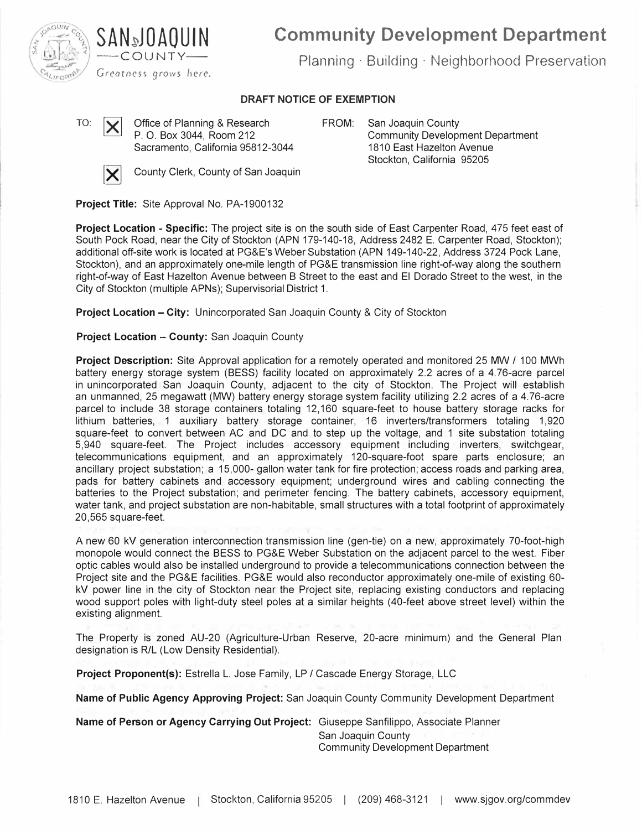

**Community Development Department** 

Planning · Building · Neighborhood Preservation

# **DRAFT NOTICE OF EXEMPTION**

TO:  $\mathbf{V}$  Office of Planning & Research P. 0. Box 3044, Room 212 Sacramento, California 95812-3044



 $\times$  County Clerk, County of San Joaquin

**FROM:** San Joaquin County Community Development Department 1810 East Hazelton Avenue Stockton, California 95205

**Project Title:** Site Approval No. PA-1900132

**SAN�J DAO U IN**  --COUNTY-

**Project Location - Specific:** The project site is on the south side of East Carpenter Road, 475 feet east of South Pock Road, near the City of Stockton (APN 179-140-18, Address 2482 E. Carpenter Road, Stockton); additional off-site work is located at PG&E's Weber Substation (APN 149-140-22, Address 3724 Pock Lane, Stockton), and an approximately one-mile length of PG&E transmission line right-of-way along the southern right-of-way of East Hazelton Avenue between B Street to the east and El Dorado Street to the west, in the City of Stockton (multiple APNs); Supervisorial District 1.

**Project Location - City:** Unincorporated San Joaquin County & City of Stockton

**Project Location - County: San Joaquin County** 

**Project Description:** Site Approval application for a remotely operated and monitored 25 MW / 100 MWh battery energy storage system (BESS) facility located on approximately 2.2 acres of a 4.76-acre parcel in unincorporated San Joaquin County, adjacent to the city of Stockton. The Project will establish an unmanned, 25 megawatt (MW) battery energy storage system facility utilizing 2.2 acres of a 4.76-acre parcel to include 38 storage containers totaling 12,160 square-feet to house battery storage racks for lithium batteries, 1 auxiliary battery storage container, 16 inverters/transformers totaling 1,920 square-feet to convert between AC and DC and to step up the voltage, and 1 site substation totaling 5,940 square-feet. The Project includes accessory equipment including inverters, switchgear, telecommunications equipment, and an approximately 120-square-foot spare parts enclosure; an ancillary project substation; a 15,000- gallon water tank for fire protection; access roads and parking area, pads for battery cabinets and accessory equipment; underground wires and cabling connecting the batteries to the Project substation; and perimeter fencing. The battery cabinets, accessory equipment, water tank, and project substation are non-habitable, small structures with a total footprint of approximately 20,565 square-feet.

A new 60 kV generation interconnection transmission line (gen-tie) on a new, approximately 70-foot-high monopole would connect the BESS to PG&E Weber Substation on the adjacent parcel to the west. Fiber optic cables would also be installed underground to provide a telecommunications connection between the Project site and the PG&E facilities. PG&E would also reconductor approximately one-mile of existing 60 kV power line in the city of Stockton near the Project site, replacing existing conductors and replacing wood support poles with light-duty steel poles at a similar heights (40-feet above street level) within the existing alignment.

The Property is zoned AU-20 (Agriculture-Urban Reserve, 20-acre minimum) and the General Plan designation is R/L (Low Density Residential).

**Project Proponent(s):** Estrella L. Jose Family, LP / Cascade Energy Storage, LLC

**Name of Public Agency Approving Project:** San Joaquin County Community Development Department

**Name of Person or Agency Carrying Out Project:** Giuseppe Sanfilippo, Associate Planner San Joaquin County Community Development Department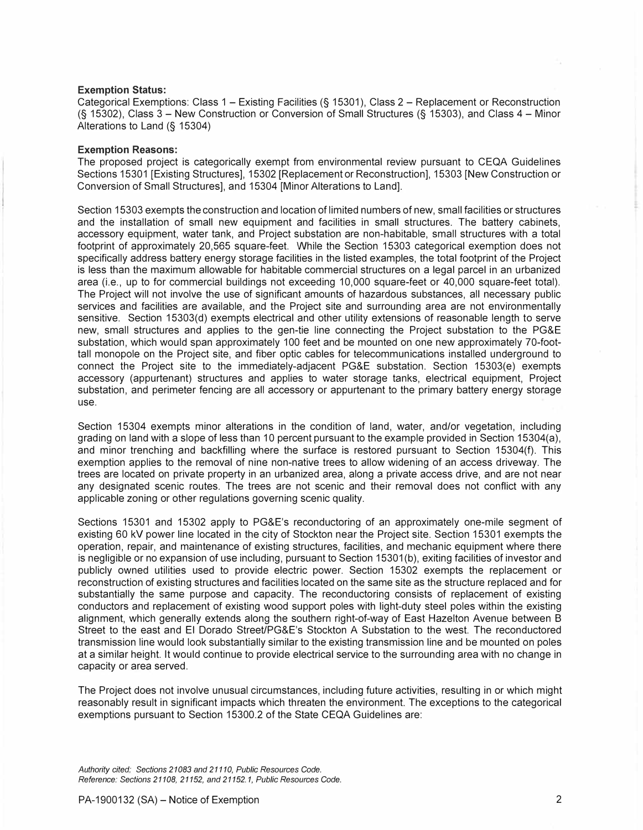### **Exemption Status:**

Categorical Exemptions: Class 1 - Existing Facilities (§ 15301 ), Class 2 - Replacement or Reconstruction (§ 15302), Class 3 - New Construction or Conversion of Small Structures (§ 15303), and Class 4 - Minor Alterations to Land (§ 15304)

### **Exemption Reasons:**

The proposed project is categorically exempt from environmental review pursuant to CEQA Guidelines Sections 15301 [Existing Structures], 15302 [Replacement or Reconstruction], 15303 [New Construction or Conversion of Small Structures], and 15304 [Minor Alterations to Land].

Section 15303 exempts the construction and location of limited numbers of new, small facilities or structures and the installation of small new equipment and facilities in small structures. The battery cabinets, accessory equipment, water tank, and Project substation are non-habitable, small structures with a total footprint of approximately 20,565 square-feet. While the Section 15303 categorical exemption does not specifically address battery energy storage facilities in the listed examples, the total footprint of the Project is less than the maximum allowable for habitable commercial structures on a legal parcel in an urbanized area (i.e., up to for commercial buildings not exceeding 10,000 square-feet or 40,000 square-feet total). The Project will not involve the use of significant amounts of hazardous substances, all necessary public services and facilities are available, and the Project site and surrounding area are not environmentally sensitive. Section 15303(d) exempts electrical and other utility extensions of reasonable length to serve new, small structures and applies to the gen-tie line connecting the Project substation to the PG&E substation, which would span approximately 100 feet and be mounted on one new approximately 70-foottall monopole on the Project site, and fiber optic cables for telecommunications installed underground to connect the Project site to the immediately-adjacent PG&E substation. Section 15303(e) exempts accessory (appurtenant) structures and applies to water storage tanks, electrical equipment, Project substation, and perimeter fencing are all accessory or appurtenant to the primary battery energy storage use.

Section 15304 exempts minor alterations in the condition of land, water, and/or vegetation, including grading on land with a slope of less than 10 percent pursuant to the example provided in Section 15304(a), and minor trenching and backfilling where the surface is restored pursuant to Section 15304(f). This exemption applies to the removal of nine non-native trees to allow widening of an access driveway. The trees are located on private property in an urbanized area, along a private access drive, and are not near any designated scenic routes. The trees are not scenic and their removal does not conflict with any applicable zoning or other regulations governing scenic quality.

Sections 15301 and 15302 apply to PG&E's reconductoring of an approximately one-mile segment of existing 60 kV power line located in the city of Stockton near the Project site. Section 15301 exempts the operation, repair, and maintenance of existing structures, facilities, and mechanic equipment where there is negligible or no expansion of use including, pursuant to Section 15301 (b), exiting facilities of investor and publicly owned utilities used to provide electric power. Section 15302 exempts the replacement or reconstruction of existing structures and facilities located on the same site as the structure replaced and for substantially the same purpose and capacity. The reconductoring consists of replacement of existing conductors and replacement of existing wood support poles with light-duty steel poles within the existing alignment, which generally extends along the southern right-of-way of East Hazelton Avenue between B Street to the east and El Dorado Street/PG&E's Stockton A Substation to the west. The reconductored transmission line would look substantially similar to the existing transmission line and be mounted on poles at a similar height. It would continue to provide electrical service to the surrounding area with no change in capacity or area served.

The Project does not involve unusual circumstances, including future activities, resulting in or which might reasonably result in significant impacts which threaten the environment. The exceptions to the categorical exemptions pursuant to Section 15300.2 of the State CEQA Guidelines are:

*Authority cited: Sections 21083 and 21110, Public Resources Code. Reference: Sections 21108, 21152, and 21152.1, Public Resources Code.*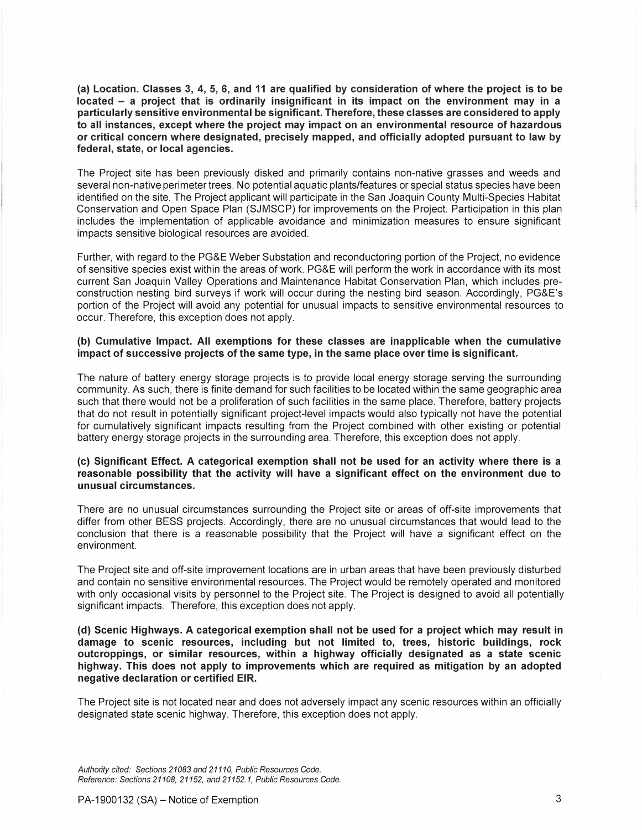**(a) Location. Classes 3, 4, 5, 6, and 11 are qualified by consideration of where the project is to be located - a project that is ordinarily insignificant in its impact on the environment may in a particularly sensitive environmental be significant. Therefore, these classes are considered to apply to all instances, except where the project may impact on an environmental resource of hazardous or critical concern where designated, precisely mapped, and officially adopted pursuant to law by federal, state, or local agencies.**

The Project site has been previously disked and primarily contains non-native grasses and weeds and several non-native perimeter trees. No potential aquatic plants/features or special status species have been identified on the site. The Project applicant will participate in the San Joaquin County Multi-Species Habitat Conservation and Open Space Plan (SJMSCP) for improvements on the Project. Participation in this plan includes the implementation of applicable avoidance and minimization measures to ensure significant impacts sensitive biological resources are avoided.

Further, with regard to the PG&E Weber Substation and reconductoring portion of the Project, no evidence of sensitive species exist within the areas of work. PG&E will perform the work in accordance with its most current San Joaquin Valley Operations and Maintenance Habitat Conservation Plan, which includes preconstruction nesting bird surveys if work will occur during the nesting bird season. Accordingly, PG&E's portion of the Project will avoid any potential for unusual impacts to sensitive environmental resources to occur. Therefore, this exception does not apply.

# **(b) Cumulative Impact. All exemptions for these classes are inapplicable when the cumulative impact of successive projects of the same type, in the same place over time is significant.**

The nature of battery energy storage projects is to provide local energy storage serving the surrounding community. As such, there is finite demand for such facilities to be located within the same geographic area such that there would not be a proliferation of such facilities in the same place. Therefore, battery projects that do not result in potentially significant project-level impacts would also typically not have the potential for cumulatively significant impacts resulting from the Project combined with other existing or potential battery energy storage projects in the surrounding area. Therefore, this exception does not apply.

## **(c) Significant Effect. A categorical exemption shall not be used for an activity where there is a reasonable possibility that the activity will have a significant effect on the environment due to unusual circumstances.**

There are no unusual circumstances surrounding the Project site or areas of off-site improvements that differ from other BESS projects. Accordingly, there are no unusual circumstances that would lead to the conclusion that there is a reasonable possibility that the Project will have a significant effect on the environment.

The Project site and off-site improvement locations are in urban areas that have been previously disturbed and contain no sensitive environmental resources. The Project would be remotely operated and monitored with only occasional visits by personnel to the Project site. The Project is designed to avoid all potentially significant impacts. Therefore, this exception does not apply.

**(d) Scenic Highways. A categorical exemption shall not be used for a project which may result ·in damage to scenic resources, including but not limited to, trees, historic buildings, rock outcroppings, or similar resources, within a highway officially designated as a state scenic highway. This does not apply to improvements which are required as mitigation by an adopted negative declaration or certified EIR.**

The Project site is not located near and does not adversely impact any scenic resources within an officially designated state scenic highway. Therefore, this exception does not apply.

*Authority cited: Sections 21083 and 21110, Public Resources Code. Reference: Sections 21108, 21152, and 21152.1, Public Resources Code.*